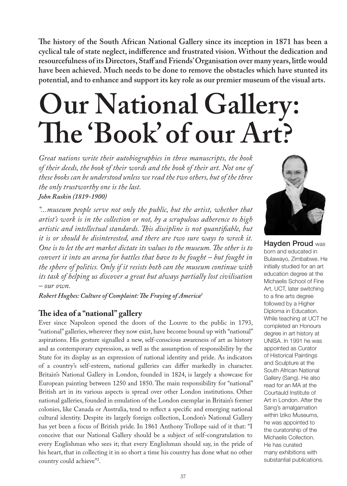**The history of the South African National Gallery since its inception in 1871 has been a cyclical tale of state neglect, indifference and frustrated vision. Without the dedication and resourcefulness of its Directors, Staff and Friends' Organisation over many years, little would have been achieved. Much needs to be done to remove the obstacles which have stunted its potential, and to enhance and support its key role as our premier museum of the visual arts.** 

# **Our National Gallery: The 'Book' of our Art?**

*Great nations write their autobiographies in three manuscripts, the book of their deeds, the book of their words and the book of their art. Not one of these books can be understood unless we read the two others, but of the three the only trustworthy one is the last. John Ruskin (1819-1900)* 

*"...museum people serve not only the public, but the artist, whether that artist's work is in the collection or not, by a scrupulous adherence to high artistic and intellectual standards. This discipline is not quantifiable, but it is or should be disinterested, and there are two sure ways to wreck it. One is to let the art market dictate its values to the museum. The other is to convert it into an arena for battles that have to be fought – but fought in the sphere of politics. Only if it resists both can the museum continue with its task of helping us discover a great but always partially lost civilisation – our own.*

*Robert Hughes: Culture of Complaint: The Fraying of America1*

# **The idea of a "national" gallery**

Ever since Napoleon opened the doors of the Louvre to the public in 1793, "national" galleries, wherever they now exist, have become bound up with "national" aspirations. His gesture signalled a new, self-conscious awareness of art as history and as contemporary expression, as well as the assumption of responsibility by the State for its display as an expression of national identity and pride. As indicators of a country's self-esteem, national galleries can differ markedly in character. Britain's National Gallery in London, founded in 1824, is largely a showcase for European painting between 1250 and 1850. The main responsibility for "national" British art in its various aspects is spread over other London institutions. Other national galleries, founded in emulation of the London exemplar in Britain's former colonies, like Canada or Australia, tend to reflect a specific and emerging national cultural identity. Despite its largely foreign collection, London's National Gallery has yet been a focus of British pride. In 1861 Anthony Trollope said of it that: "I conceive that our National Gallery should be a subject of self-congratulation to every Englishman who sees it; that every Englishman should say, in the pride of his heart, that in collecting it in so short a time his country has done what no other country could achieve"2 .



Hayden Proud was born and educated in Bulawayo, Zimbabwe. He initially studied for an art education degree at the Michaelis School of Fine Art, UCT, later switching to a fine arts degree followed by a Higher Diploma in Education. While teaching at UCT he completed an Honours degree in art history at UNISA. In 1991 he was appointed as Curator of Historical Paintings and Sculpture at the South African National Gallery (Sang). He also read for an MA at the Courtauld Institute of Art in London. After the Sang's amalgamation within Iziko Museums, he was appointed to the curatorship of the Michaelis Collection. He has curated many exhibitions with substantial publications.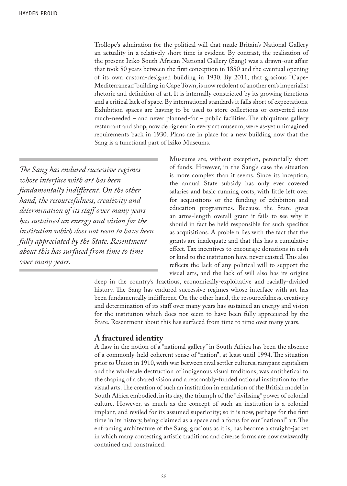Trollope's admiration for the political will that made Britain's National Gallery an actuality in a relatively short time is evident. By contrast, the realisation of the present Iziko South African National Gallery (Sang) was a drawn-out affair that took 80 years between the first conception in 1850 and the eventual opening of its own custom-designed building in 1930. By 2011, that gracious "Cape-Mediterranean" building in Cape Town, is now redolent of another era's imperialist rhetoric and definition of art. It is internally constricted by its growing functions and a critical lack of space. By international standards it falls short of expectations. Exhibition spaces are having to be used to store collections or converted into much-needed – and never planned-for – public facilities. The ubiquitous gallery restaurant and shop, now de rigueur in every art museum, were as-yet unimagined requirements back in 1930. Plans are in place for a new building now that the Sang is a functional part of Iziko Museums.

*The Sang has endured successive regimes whose interface with art has been fundamentally indifferent. On the other hand, the resourcefulness, creativity and determination of its staff over many years has sustained an energy and vision for the institution which does not seem to have been fully appreciated by the State. Resentment about this has surfaced from time to time over many years.*

Museums are, without exception, perennially short of funds. However, in the Sang's case the situation is more complex than it seems. Since its inception, the annual State subsidy has only ever covered salaries and basic running costs, with little left over for acquisitions or the funding of exhibition and education programmes. Because the State gives an arms-length overall grant it fails to see why it should in fact be held responsible for such specifics as acquisitions. A problem lies with the fact that the grants are inadequate and that this has a cumulative effect. Tax incentives to encourage donations in cash or kind to the institution have never existed. This also reflects the lack of any political will to support the visual arts, and the lack of will also has its origins

deep in the country's fractious, economically-exploitative and racially-divided history. The Sang has endured successive regimes whose interface with art has been fundamentally indifferent. On the other hand, the resourcefulness, creativity and determination of its staff over many years has sustained an energy and vision for the institution which does not seem to have been fully appreciated by the State. Resentment about this has surfaced from time to time over many years.

# **A fractured identity**

A flaw in the notion of a "national gallery" in South Africa has been the absence of a commonly-held coherent sense of "nation", at least until 1994. The situation prior to Union in 1910, with war between rival settler cultures, rampant capitalism and the wholesale destruction of indigenous visual traditions, was antithetical to the shaping of a shared vision and a reasonably-funded national institution for the visual arts. The creation of such an institution in emulation of the British model in South Africa embodied, in its day, the triumph of the "civilising" power of colonial culture. However, as much as the concept of such an institution is a colonial implant, and reviled for its assumed superiority; so it is now, perhaps for the first time in its history, being claimed as a space and a focus for our "national" art. The enframing architecture of the Sang, gracious as it is, has become a straight-jacket in which many contesting artistic traditions and diverse forms are now awkwardly contained and constrained.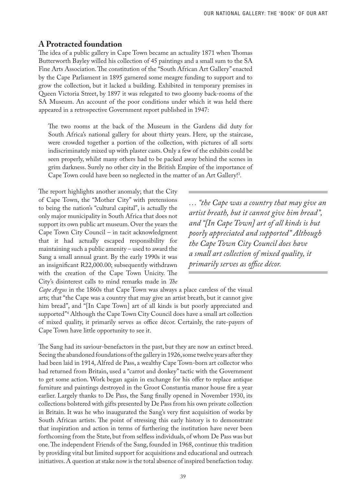# **A Protracted foundation**

The idea of a public gallery in Cape Town became an actuality 1871 when Thomas Butterworth Bayley willed his collection of 45 paintings and a small sum to the SA Fine Arts Association. The constitution of the "South African Art Gallery" enacted by the Cape Parliament in 1895 garnered some meagre funding to support and to grow the collection, but it lacked a building. Exhibited in temporary premises in Queen Victoria Street, by 1897 it was relegated to two gloomy back-rooms of the SA Museum. An account of the poor conditions under which it was held there appeared in a retrospective Government report published in 1947:

The two rooms at the back of the Museum in the Gardens did duty for South Africa's national gallery for about thirty years. Here, up the staircase, were crowded together a portion of the collection, with pictures of all sorts indiscriminately mixed up with plaster casts. Only a few of the exhibits could be seen properly, whilst many others had to be packed away behind the scenes in grim darkness. Surely no other city in the British Empire of the importance of Cape Town could have been so neglected in the matter of an Art Gallery!3 .

The report highlights another anomaly; that the City of Cape Town, the "Mother City" with pretensions to being the nation's "cultural capital", is actually the only major municipality in South Africa that does not support its own public art museum. Over the years the Cape Town City Council – in tacit acknowledgment that it had actually escaped responsibility for maintaining such a public amenity – used to award the Sang a small annual grant. By the early 1990s it was an insignificant R22,000.00; subsequently withdrawn with the creation of the Cape Town Unicity. The City's disinterest calls to mind remarks made in *The* 

*… "the Cape was a country that may give an artist breath, but it cannot give him bread", and "[In Cape Town] art of all kinds is but poorly appreciated and supported" Although the Cape Town City Council does have a small art collection of mixed quality, it primarily serves as office décor.*

*Cape Argus* in the 1860s that Cape Town was always a place careless of the visual arts; that "the Cape was a country that may give an artist breath, but it cannot give him bread", and "[In Cape Town] art of all kinds is but poorly appreciated and supported"4 Although the Cape Town City Council does have a small art collection of mixed quality, it primarily serves as office décor. Certainly, the rate-payers of Cape Town have little opportunity to see it.

The Sang had its saviour-benefactors in the past, but they are now an extinct breed. Seeing the abandoned foundations of the gallery in 1926, some twelve years after they had been laid in 1914, Alfred de Pass, a wealthy Cape Town-born art collector who had returned from Britain, used a "carrot and donkey" tactic with the Government to get some action. Work began again in exchange for his offer to replace antique furniture and paintings destroyed in the Groot Constantia manor house fire a year earlier. Largely thanks to De Pass, the Sang finally opened in November 1930, its collections bolstered with gifts presented by De Pass from his own private collection in Britain. It was he who inaugurated the Sang's very first acquisition of works by South African artists. The point of stressing this early history is to demonstrate that inspiration and action in terms of furthering the institution have never been forthcoming from the State, but from selfless individuals, of whom De Pass was but one. The independent Friends of the Sang, founded in 1968, continue this tradition by providing vital but limited support for acquisitions and educational and outreach initiatives. A question at stake now is the total absence of inspired benefaction today.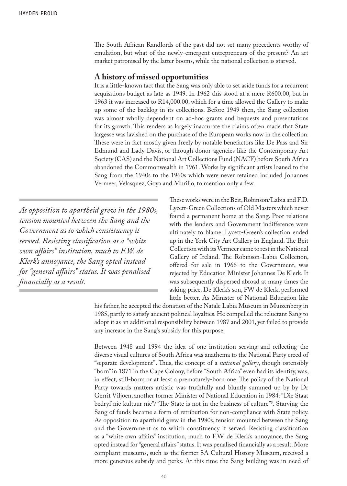The South African Randlords of the past did not set many precedents worthy of emulation, but what of the newly-emergent entrepreneurs of the present? An art market patronised by the latter booms, while the national collection is starved.

#### **A history of missed opportunities**

It is a little-known fact that the Sang was only able to set aside funds for a recurrent acquisitions budget as late as 1949. In 1962 this stood at a mere R600.00, but in 1963 it was increased to R14,000.00, which for a time allowed the Gallery to make up some of the backlog in its collections. Before 1949 then, the Sang collection was almost wholly dependent on ad-hoc grants and bequests and presentations for its growth. This renders as largely inaccurate the claims often made that State largesse was lavished on the purchase of the European works now in the collection. These were in fact mostly given freely by notable benefactors like De Pass and Sir Edmund and Lady Davis, or through donor-agencies like the Contemporary Art Society (CAS) and the National Art Collections Fund (NACF) before South Africa abandoned the Commonwealth in 1961. Works by significant artists loaned to the Sang from the 1940s to the 1960s which were never retained included Johannes Vermeer, Velasquez, Goya and Murillo, to mention only a few.

*As opposition to apartheid grew in the 1980s, tension mounted between the Sang and the Government as to which constituency it served. Resisting classification as a "white own affairs" institution, much to F.W. de Klerk's annoyance, the Sang opted instead for "general affairs'' status. It was penalised financially as a result.*

These works were in the Beit, Robinson/Labia and F.D. Lycett-Green Collections of Old Masters which never found a permanent home at the Sang. Poor relations with the lenders and Government indifference were ultimately to blame. Lycett-Green's collection ended up in the York City Art Gallery in England. The Beit Collection with its Vermeer came to rest in the National Gallery of Ireland. The Robinson-Labia Collection, offered for sale in 1966 to the Government, was rejected by Education Minister Johannes De Klerk. It was subsequently dispersed abroad at many times the asking price. De Klerk's son, FW de Klerk, performed little better. As Minister of National Education like

his father, he accepted the donation of the Natale Labia Museum in Muizenberg in 1985, partly to satisfy ancient political loyalties. He compelled the reluctant Sang to adopt it as an additional responsibility between 1987 and 2001, yet failed to provide any increase in the Sang's subsidy for this purpose.

Between 1948 and 1994 the idea of one institution serving and reflecting the diverse visual cultures of South Africa was anathema to the National Party creed of "separate development". Thus, the concept of a *national gallery*, though ostensibly "born" in 1871 in the Cape Colony, before "South Africa" even had its identity, was, in effect, still-born; or at least a prematurely-born one. The policy of the National Party towards matters artistic was truthfully and bluntly summed up by by Dr Gerrit Viljoen, another former Minister of National Education in 1984: "Die Staat bedryf nie kultuur nie"/"The State is not in the business of culture"5 . Starving the Sang of funds became a form of retribution for non-compliance with State policy. As opposition to apartheid grew in the 1980s, tension mounted between the Sang and the Government as to which constituency it served. Resisting classification as a "white own affairs" institution, much to F.W. de Klerk's annoyance, the Sang opted instead for "general affairs'' status. It was penalised financially as a result. More compliant museums, such as the former SA Cultural History Museum, received a more generous subsidy and perks. At this time the Sang building was in need of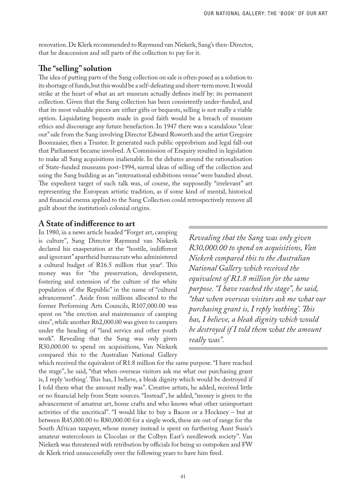renovation. De Klerk recommended to Raymund van Niekerk, Sang's then-Director, that he deaccession and sell parts of the collection to pay for it.

# **The "selling" solution**

The idea of putting parts of the Sang collection on sale is often posed as a solution to its shortage of funds, but this would be a self-defeating and short-term move. It would strike at the heart of what an art museum actually defines itself by: its permanent collection. Given that the Sang collection has been consistently under-funded, and that its most valuable pieces are either gifts or bequests, selling is not really a viable option. Liquidating bequests made in good faith would be a breach of museum ethics and discourage any future benefaction. In 1947 there was a scandalous "clear out" sale from the Sang involving Director Edward Roworth and the artist Gregoire Boonzaaier, then a Trustee. It generated such public opprobrium and legal fall-out that Parliament became involved. A Commission of Enquiry resulted in legislation to make all Sang acquisitions inalienable. In the debates around the rationalisation of State-funded museums post-1994, surreal ideas of selling off the collection and using the Sang building as an "international exhibitions venue" were bandied about. The expedient target of such talk was, of course, the supposedly "irrelevant" art representing the European artistic tradition, as if some kind of mental, historical and financial enema applied to the Sang Collection could retrospectively remove all guilt about the institution's colonial origins.

### **A State of indifference to art**

In 1980, in a news article headed "Forget art, camping is culture", Sang Director Raymund van Niekerk declared his exasperation at the "hostile, indifferent and ignorant" apartheid bureaucrats who administered a cultural budget of R16.5 million that year<sup>6</sup>. This money was for "the preservation, development, fostering and extension of the culture of the white population of the Republic" in the name of "cultural advancement". Aside from millions allocated to the former Performing Arts Councils, R107,000.00 was spent on "the erection and maintenance of camping sites", while another R62,000.00 was given to campers under the heading of "land service and other youth work". Revealing that the Sang was only given R30,000.00 to spend on acquisitions, Van Niekerk compared this to the Australian National Gallery

*Revealing that the Sang was only given R30,000.00 to spend on acquisitions, Van Niekerk compared this to the Australian National Gallery which received the equivalent of R1.8 million for the same purpose. "I have reached the stage", he said, "that when overseas visitors ask me what our purchasing grant is, I reply 'nothing'. This has, I believe, a bleak dignity which would be destroyed if I told them what the amount really was".*

which received the equivalent of R1.8 million for the same purpose. "I have reached the stage", he said, "that when overseas visitors ask me what our purchasing grant is, I reply 'nothing'. This has, I believe, a bleak dignity which would be destroyed if I told them what the amount really was". Creative artists, he added, received little or no financial help from State sources. "Instead", he added, "money is given to the advancement of amateur art, home crafts and who knows what other unimportant activities of the uncritical". "I would like to buy a Bacon or a Hockney – but at between R45,000.00 to R80,000.00 for a single work, these are out of range for the South African taxpayer, whose money instead is spent on furthering Aunt Susie's amateur watercolours in Clocolan or the Colbyn East's needlework society". Van Niekerk was threatened with retribution by officials for being so outspoken and FW de Klerk tried unsuccessfully over the following years to have him fired.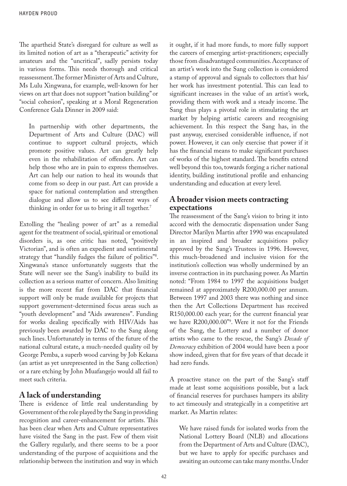The apartheid State's disregard for culture as well as its limited notion of art as a "therapeutic" activity for amateurs and the "uncritical", sadly persists today in various forms. This needs thorough and critical reassessment. The former Minister of Arts and Culture, Ms Lulu Xingwana, for example, well-known for her views on art that does not support "nation building" or "social cohesion", speaking at a Moral Regeneration Conference Gala Dinner in 2009 said:

In partnership with other departments, the Department of Arts and Culture (DAC) will continue to support cultural projects, which promote positive values. Art can greatly help even in the rehabilitation of offenders. Art can help those who are in pain to express themselves. Art can help our nation to heal its wounds that come from so deep in our past. Art can provide a space for national contemplation and strengthen dialogue and allow us to see different ways of thinking in order for us to bring it all together.<sup>7</sup>

Extolling the "healing power of art" as a remedial agent for the treatment of social, spiritual or emotional disorders is, as one critic has noted, "positively Victorian", and is often an expedient and sentimental strategy that "handily fudges the failure of politics"8 . Xingwana's stance unfortunately suggests that the State will never see the Sang's inability to build its collection as a serious matter of concern. Also limiting is the more recent fiat from DAC that financial support will only be made available for projects that support government-determined focus areas such as "youth development" and "Aids awareness". Funding for works dealing specifically with HIV/Aids has previously been awarded by DAC to the Sang along such lines. Unfortunately in terms of the future of the national cultural estate, a much-needed quality oil by George Pemba, a superb wood carving by Job Kekana (an artist as yet unrepresented in the Sang collection) or a rare etching by John Muafangejo would all fail to meet such criteria.

# **A lack of understanding**

There is evidence of little real understanding by Government of the role played by the Sang in providing recognition and career-enhancement for artists. This has been clear when Arts and Culture representatives have visited the Sang in the past. Few of them visit the Gallery regularly, and there seems to be a poor understanding of the purpose of acquisitions and the relationship between the institution and way in which

it ought, if it had more funds, to more fully support the careers of emerging artist-practitioners; especially those from disadvantaged communities. Acceptance of an artist's work into the Sang collection is considered a stamp of approval and signals to collectors that his/ her work has investment potential. This can lead to significant increases in the value of an artist's work, providing them with work and a steady income. The Sang thus plays a pivotal role in stimulating the art market by helping artistic careers and recognising achievement. In this respect the Sang has, in the past anyway, exercised considerable influence, if not power. However, it can only exercise that power if it has the financial means to make significant purchases of works of the highest standard. The benefits extend well beyond this too, towards forging a richer national identity, building institutional profile and enhancing understanding and education at every level.

## **A broader vision meets contracting expectations**

The reassessment of the Sang's vision to bring it into accord with the democratic dispensation under Sang Director Marilyn Martin after 1990 was encapsulated in an inspired and broader acquisitions policy approved by the Sang's Trustees in 1996. However, this much-broadened and inclusive vision for the institution's collection was wholly undermined by an inverse contraction in its purchasing power. As Martin noted: "From 1984 to 1997 the acquisitions budget remained at approximately R200,000.00 per annum. Between 1997 and 2003 there was nothing and since then the Art Collections Department has received R150,000.00 each year; for the current financial year we have R200,000.00"9 . Were it not for the Friends of the Sang, the Lottery and a number of donor artists who came to the rescue, the Sang's *Decade of Democracy* exhibition of 2004 would have been a poor show indeed, given that for five years of that decade it had zero funds.

A proactive stance on the part of the Sang's staff made at least some acquisitions possible, but a lack of financial reserves for purchases hampers its ability to act timeously and strategically in a competitive art market. As Martin relates:

We have raised funds for isolated works from the National Lottery Board (NLB) and allocations from the Department of Arts and Culture (DAC), but we have to apply for specific purchases and awaiting an outcome can take many months. Under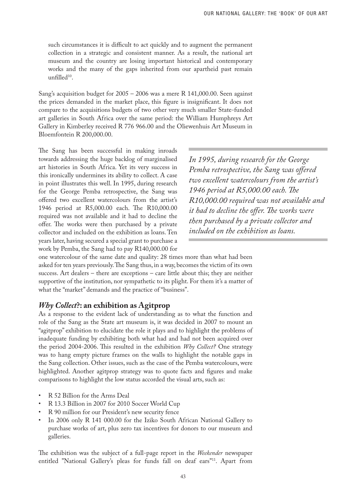such circumstances it is difficult to act quickly and to augment the permanent collection in a strategic and consistent manner. As a result, the national art museum and the country are losing important historical and contemporary works and the many of the gaps inherited from our apartheid past remain unfilled<sup>10</sup>.

Sang's acquisition budget for 2005 – 2006 was a mere R 141,000.00. Seen against the prices demanded in the market place, this figure is insignificant. It does not compare to the acquisitions budgets of two other very much smaller State-funded art galleries in South Africa over the same period: the William Humphreys Art Gallery in Kimberley received R 776 966.00 and the Oliewenhuis Art Museum in Bloemfontein R 200,000.00.

The Sang has been successful in making inroads towards addressing the huge backlog of marginalised art histories in South Africa. Yet its very success in this ironically undermines its ability to collect. A case in point illustrates this well. In 1995, during research for the George Pemba retrospective, the Sang was offered two excellent watercolours from the artist's 1946 period at R5,000.00 each. The R10,000.00 required was not available and it had to decline the offer. The works were then purchased by a private collector and included on the exhibition as loans. Ten years later, having secured a special grant to purchase a work by Pemba, the Sang had to pay R140,000.00 for

*In 1995, during research for the George Pemba retrospective, the Sang was offered two excellent watercolours from the artist's 1946 period at R5,000.00 each. The R10,000.00 required was not available and it had to decline the offer. The works were then purchased by a private collector and included on the exhibition as loans.*

one watercolour of the same date and quality: 28 times more than what had been asked for ten years previously. The Sang thus, in a way, becomes the victim of its own success. Art dealers – there are exceptions – care little about this; they are neither supportive of the institution, nor sympathetic to its plight. For them it's a matter of what the "market" demands and the practice of "business".

#### *Why Collect***?: an exhibition as Agitprop**

As a response to the evident lack of understanding as to what the function and role of the Sang as the State art museum is, it was decided in 2007 to mount an "agitprop" exhibition to elucidate the role it plays and to highlight the problems of inadequate funding by exhibiting both what had and had not been acquired over the period 2004-2006. This resulted in the exhibition *Why Collect?* One strategy was to hang empty picture frames on the walls to highlight the notable gaps in the Sang collection. Other issues, such as the case of the Pemba watercolours, were highlighted. Another agitprop strategy was to quote facts and figures and make comparisons to highlight the low status accorded the visual arts, such as:

- R 52 Billion for the Arms Deal
- R 13.3 Billion in 2007 for 2010 Soccer World Cup
- R 90 million for our President's new security fence
- In 2006 only R 141 000.00 for the Iziko South African National Gallery to purchase works of art, plus zero tax incentives for donors to our museum and galleries.

The exhibition was the subject of a full-page report in the *Weekender* newspaper entitled "National Gallery's pleas for funds fall on deaf ears"11. Apart from